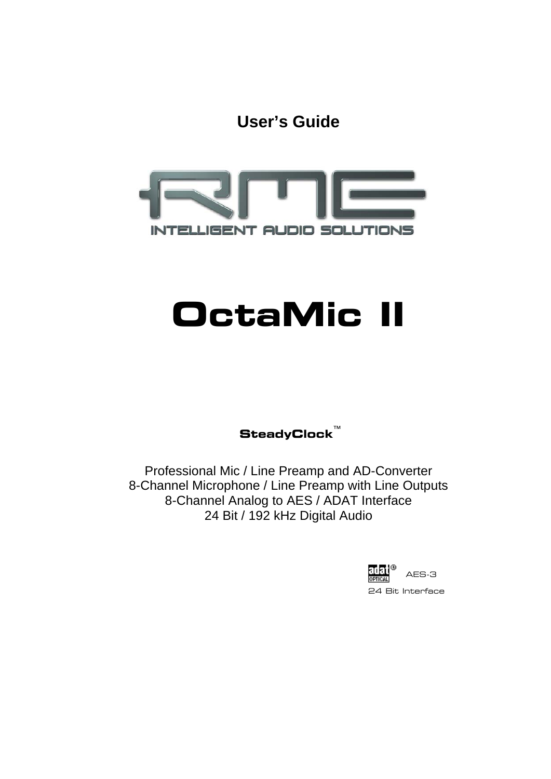**User's Guide**



# **OctaMic II**

**SteadyClock**™

Professional Mic / Line Preamp and AD-Converter 8-Channel Microphone / Line Preamp with Line Outputs 8-Channel Analog to AES / ADAT Interface 24 Bit / 192 kHz Digital Audio

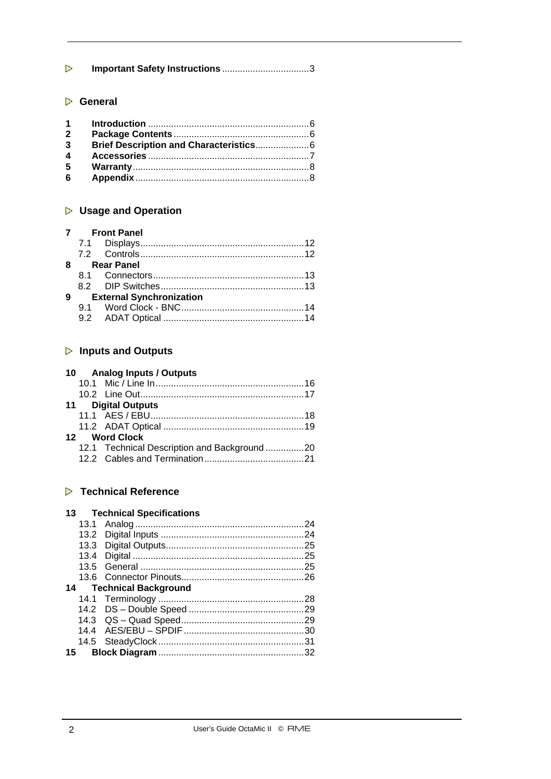# **General**

| $1 \quad \blacksquare$ |  |
|------------------------|--|
| $\mathbf{2}$           |  |
| 3                      |  |
| 4                      |  |
| 5                      |  |
| 6                      |  |

# **Usage and Operation**

### **7 Front Panel**

|  | 8 Rear Panel               |  |
|--|----------------------------|--|
|  |                            |  |
|  |                            |  |
|  | 9 External Synchronization |  |
|  |                            |  |
|  |                            |  |

# **Inputs and Outputs**

|  | 10 Analog Inputs / Outputs                  |  |
|--|---------------------------------------------|--|
|  |                                             |  |
|  |                                             |  |
|  | 11 Digital Outputs                          |  |
|  |                                             |  |
|  |                                             |  |
|  | 12 Word Clock                               |  |
|  | 12.1 Technical Description and Background20 |  |
|  |                                             |  |

# **Technical Reference**

|  | <b>13 Technical Specifications</b> |     |
|--|------------------------------------|-----|
|  |                                    | -24 |
|  |                                    |     |
|  |                                    |     |
|  |                                    |     |
|  |                                    |     |
|  |                                    |     |
|  | 14 Technical Background            |     |
|  |                                    |     |
|  |                                    |     |
|  |                                    |     |
|  |                                    |     |
|  |                                    |     |
|  |                                    |     |
|  |                                    |     |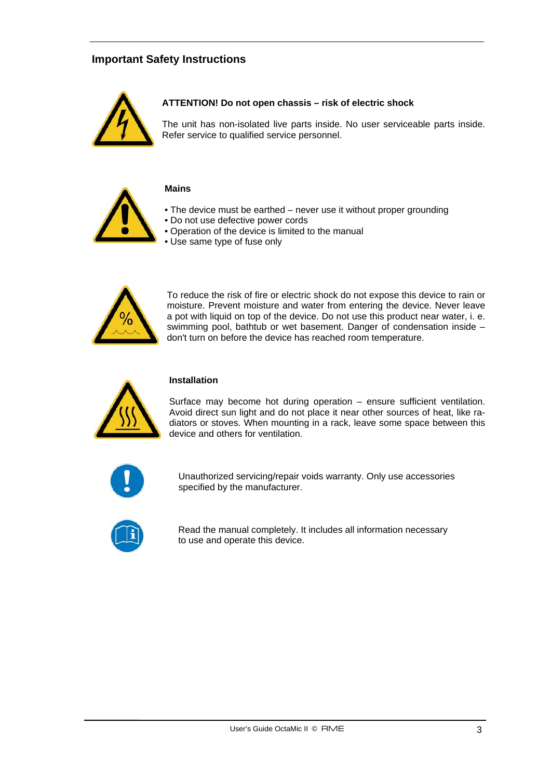# **Important Safety Instructions**



#### **ATTENTION! Do not open chassis – risk of electric shock**

The unit has non-isolated live parts inside. No user serviceable parts inside. Refer service to qualified service personnel.



#### **Mains**

- The device must be earthed never use it without proper grounding
- Do not use defective power cords
- Operation of the device is limited to the manual
- Use same type of fuse only



To reduce the risk of fire or electric shock do not expose this device to rain or moisture. Prevent moisture and water from entering the device. Never leave a pot with liquid on top of the device. Do not use this product near water, i. e. swimming pool, bathtub or wet basement. Danger of condensation inside – don't turn on before the device has reached room temperature.



#### **Installation**

Surface may become hot during operation – ensure sufficient ventilation. Avoid direct sun light and do not place it near other sources of heat, like radiators or stoves. When mounting in a rack, leave some space between this device and others for ventilation.



Unauthorized servicing/repair voids warranty. Only use accessories specified by the manufacturer.



Read the manual completely. It includes all information necessary to use and operate this device.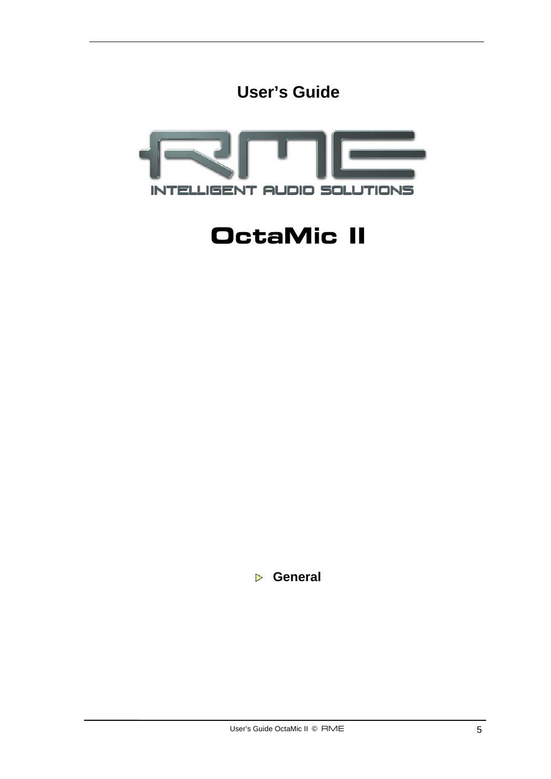



# **OctaMic II**

 **General**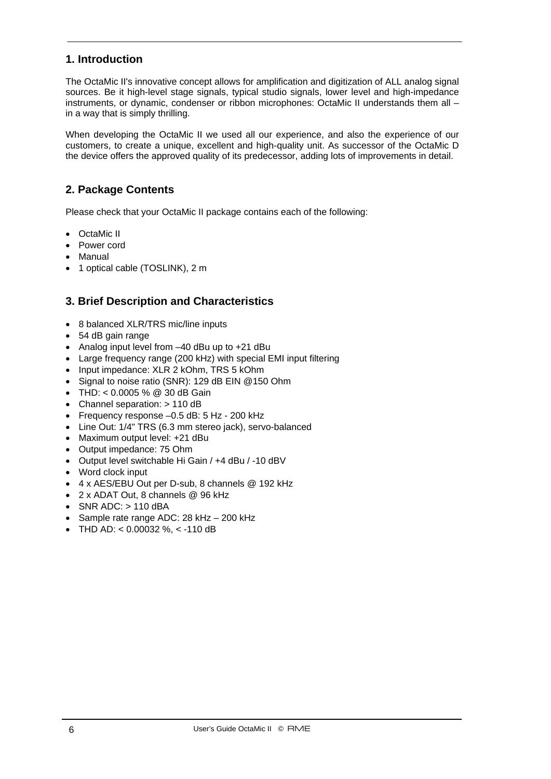# **1. Introduction**

The OctaMic II's innovative concept allows for amplification and digitization of ALL analog signal sources. Be it high-level stage signals, typical studio signals, lower level and high-impedance instruments, or dynamic, condenser or ribbon microphones: OctaMic II understands them all – in a way that is simply thrilling.

When developing the OctaMic II we used all our experience, and also the experience of our customers, to create a unique, excellent and high-quality unit. As successor of the OctaMic D the device offers the approved quality of its predecessor, adding lots of improvements in detail.

# **2. Package Contents**

Please check that your OctaMic II package contains each of the following:

- OctaMic II
- Power cord
- Manual
- 1 optical cable (TOSLINK), 2 m

# **3. Brief Description and Characteristics**

- 8 balanced XLR/TRS mic/line inputs
- 54 dB gain range
- Analog input level from -40 dBu up to +21 dBu
- Large frequency range (200 kHz) with special EMI input filtering
- Input impedance: XLR 2 kOhm, TRS 5 kOhm
- Signal to noise ratio (SNR): 129 dB EIN @150 Ohm
- THD: <  $0.0005$  % @ 30 dB Gain
- Channel separation: > 110 dB
- Frequency response –0.5 dB: 5 Hz 200 kHz
- Line Out: 1/4" TRS (6.3 mm stereo jack), servo-balanced
- Maximum output level: +21 dBu
- Output impedance: 75 Ohm
- Output level switchable Hi Gain / +4 dBu / -10 dBV
- Word clock input
- 4 x AES/EBU Out per D-sub, 8 channels @ 192 kHz
- 2 x ADAT Out, 8 channels @ 96 kHz
- $\bullet$  SNR ADC:  $> 110$  dBA
- Sample rate range ADC: 28 kHz 200 kHz
- THD AD: <  $0.00032$  %, <  $-110$  dB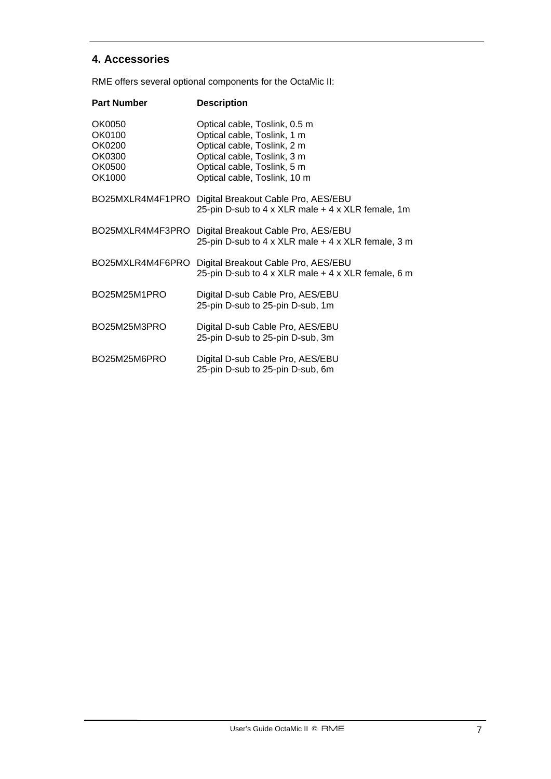# **4. Accessories**

RME offers several optional components for the OctaMic II:

| <b>Part Number</b>                                       | <b>Description</b>                                                                                                                                                                        |
|----------------------------------------------------------|-------------------------------------------------------------------------------------------------------------------------------------------------------------------------------------------|
| OK0050<br>OK0100<br>OK0200<br>OK0300<br>OK0500<br>OK1000 | Optical cable, Toslink, 0.5 m<br>Optical cable, Toslink, 1 m<br>Optical cable, Toslink, 2 m<br>Optical cable, Toslink, 3 m<br>Optical cable, Toslink, 5 m<br>Optical cable, Toslink, 10 m |
| BO25MXLR4M4F1PRO                                         | Digital Breakout Cable Pro, AES/EBU<br>25-pin D-sub to 4 x XLR male + 4 x XLR female, 1m                                                                                                  |
| BO25MXLR4M4F3PRO                                         | Digital Breakout Cable Pro, AES/EBU<br>25-pin D-sub to 4 x XLR male + 4 x XLR female, 3 m                                                                                                 |
| BO25MXLR4M4F6PRO                                         | Digital Breakout Cable Pro, AES/EBU<br>25-pin D-sub to 4 x XLR male + 4 x XLR female, 6 m                                                                                                 |
| BO25M25M1PRO                                             | Digital D-sub Cable Pro, AES/EBU<br>25-pin D-sub to 25-pin D-sub, 1m                                                                                                                      |
| BO25M25M3PRO                                             | Digital D-sub Cable Pro, AES/EBU<br>25-pin D-sub to 25-pin D-sub, 3m                                                                                                                      |
| BO25M25M6PRO                                             | Digital D-sub Cable Pro, AES/EBU<br>25-pin D-sub to 25-pin D-sub, 6m                                                                                                                      |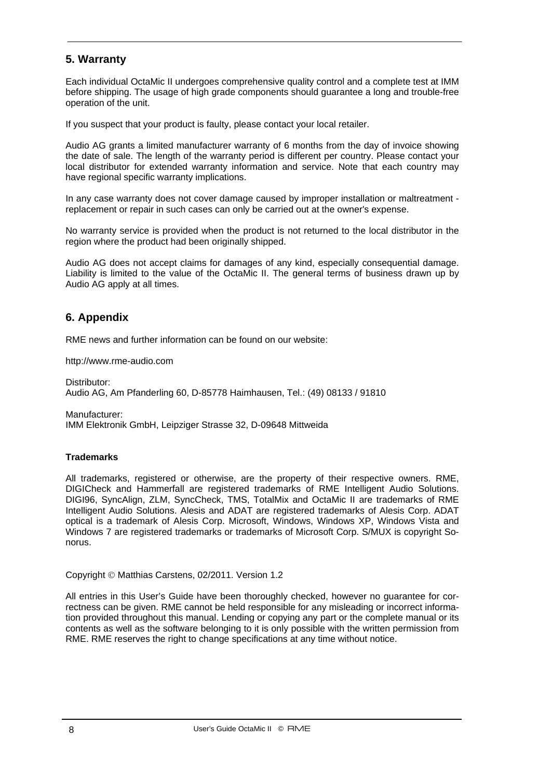# **5. Warranty**

Each individual OctaMic II undergoes comprehensive quality control and a complete test at IMM before shipping. The usage of high grade components should guarantee a long and trouble-free operation of the unit.

If you suspect that your product is faulty, please contact your local retailer.

Audio AG grants a limited manufacturer warranty of 6 months from the day of invoice showing the date of sale. The length of the warranty period is different per country. Please contact your local distributor for extended warranty information and service. Note that each country may have regional specific warranty implications.

In any case warranty does not cover damage caused by improper installation or maltreatment replacement or repair in such cases can only be carried out at the owner's expense.

No warranty service is provided when the product is not returned to the local distributor in the region where the product had been originally shipped.

Audio AG does not accept claims for damages of any kind, especially consequential damage. Liability is limited to the value of the OctaMic II. The general terms of business drawn up by Audio AG apply at all times.

# **6. Appendix**

RME news and further information can be found on our website:

http://www.rme-audio.com

Distributor: Audio AG, Am Pfanderling 60, D-85778 Haimhausen, Tel.: (49) 08133 / 91810

Manufacturer: IMM Elektronik GmbH, Leipziger Strasse 32, D-09648 Mittweida

#### **Trademarks**

All trademarks, registered or otherwise, are the property of their respective owners. RME, DIGICheck and Hammerfall are registered trademarks of RME Intelligent Audio Solutions. DIGI96, SyncAlign, ZLM, SyncCheck, TMS, TotalMix and OctaMic II are trademarks of RME Intelligent Audio Solutions. Alesis and ADAT are registered trademarks of Alesis Corp. ADAT optical is a trademark of Alesis Corp. Microsoft, Windows, Windows XP, Windows Vista and Windows 7 are registered trademarks or trademarks of Microsoft Corp. S/MUX is copyright Sonorus.

Copyright © Matthias Carstens, 02/2011. Version 1.2

All entries in this User's Guide have been thoroughly checked, however no guarantee for correctness can be given. RME cannot be held responsible for any misleading or incorrect information provided throughout this manual. Lending or copying any part or the complete manual or its contents as well as the software belonging to it is only possible with the written permission from RME. RME reserves the right to change specifications at any time without notice.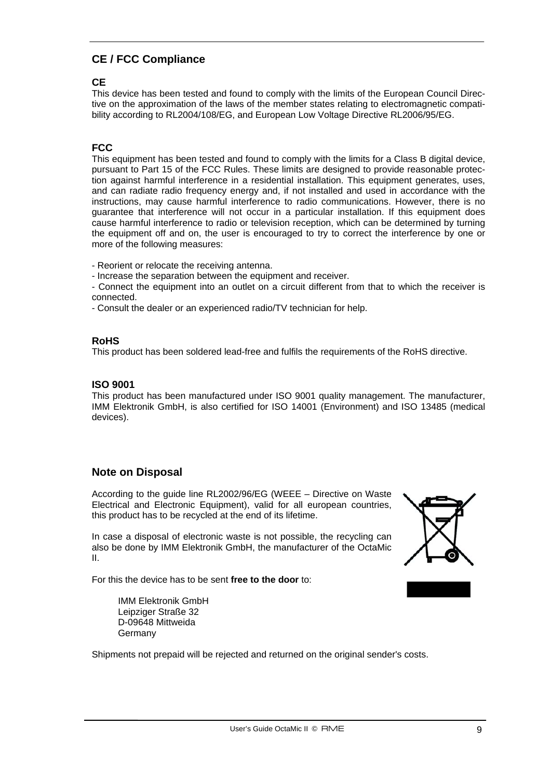# **CE / FCC Compliance**

#### **CE**

This device has been tested and found to comply with the limits of the European Council Directive on the approximation of the laws of the member states relating to electromagnetic compatibility according to RL2004/108/EG, and European Low Voltage Directive RL2006/95/EG.

### **FCC**

This equipment has been tested and found to comply with the limits for a Class B digital device, pursuant to Part 15 of the FCC Rules. These limits are designed to provide reasonable protection against harmful interference in a residential installation. This equipment generates, uses, and can radiate radio frequency energy and, if not installed and used in accordance with the instructions, may cause harmful interference to radio communications. However, there is no guarantee that interference will not occur in a particular installation. If this equipment does cause harmful interference to radio or television reception, which can be determined by turning the equipment off and on, the user is encouraged to try to correct the interference by one or more of the following measures:

- Reorient or relocate the receiving antenna.

- Increase the separation between the equipment and receiver.
- Connect the equipment into an outlet on a circuit different from that to which the receiver is connected.
- Consult the dealer or an experienced radio/TV technician for help.

#### **RoHS**

This product has been soldered lead-free and fulfils the requirements of the RoHS directive.

#### **ISO 9001**

This product has been manufactured under ISO 9001 quality management. The manufacturer, IMM Elektronik GmbH, is also certified for ISO 14001 (Environment) and ISO 13485 (medical devices).

#### **Note on Disposal**

According to the guide line RL2002/96/EG (WEEE – Directive on Waste Electrical and Electronic Equipment), valid for all european countries, this product has to be recycled at the end of its lifetime.

In case a disposal of electronic waste is not possible, the recycling can also be done by IMM Elektronik GmbH, the manufacturer of the OctaMic II.

For this the device has to be sent **free to the door** to:

 IMM Elektronik GmbH Leipziger Straße 32 D-09648 Mittweida **Germany** 

Shipments not prepaid will be rejected and returned on the original sender's costs.

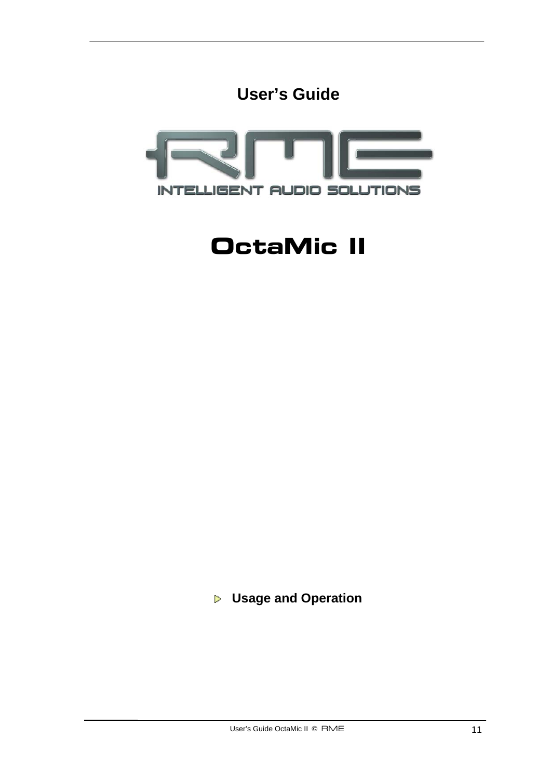



# **OctaMic II**

 **Usage and Operation**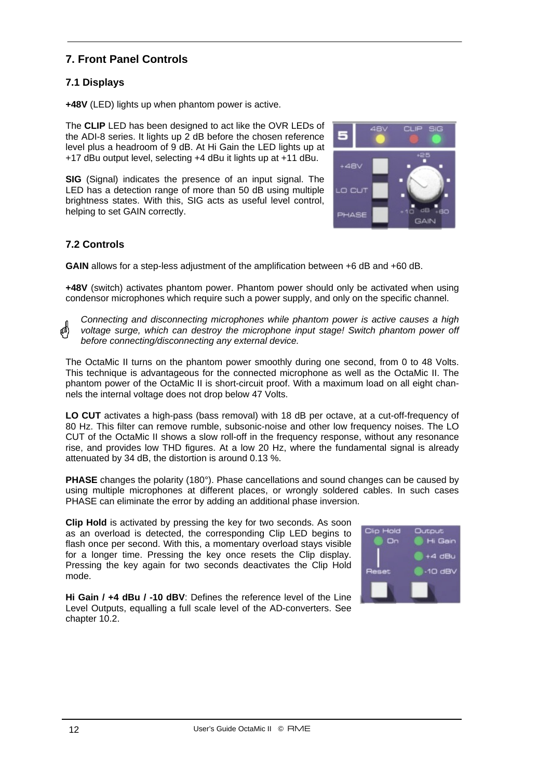# **7. Front Panel Controls**

# **7.1 Displays**

**+48V** (LED) lights up when phantom power is active.

The **CLIP** LED has been designed to act like the OVR LEDs of the ADI-8 series. It lights up 2 dB before the chosen reference level plus a headroom of 9 dB. At Hi Gain the LED lights up at +17 dBu output level, selecting +4 dBu it lights up at +11 dBu.

**SIG** (Signal) indicates the presence of an input signal. The LED has a detection range of more than 50 dB using multiple brightness states. With this, SIG acts as useful level control, helping to set GAIN correctly.



### **7.2 Controls**

**GAIN** allows for a step-less adjustment of the amplification between +6 dB and +60 dB.

**+48V** (switch) activates phantom power. Phantom power should only be activated when using condensor microphones which require such a power supply, and only on the specific channel.

*Connecting and disconnecting microphones while phantom power is active causes a high voltage surge, which can destroy the microphone input stage! Switch phantom power off before connecting/disconnecting any external device.* 

The OctaMic II turns on the phantom power smoothly during one second, from 0 to 48 Volts. This technique is advantageous for the connected microphone as well as the OctaMic II. The phantom power of the OctaMic II is short-circuit proof. With a maximum load on all eight channels the internal voltage does not drop below 47 Volts.

**LO CUT** activates a high-pass (bass removal) with 18 dB per octave, at a cut-off-frequency of 80 Hz. This filter can remove rumble, subsonic-noise and other low frequency noises. The LO CUT of the OctaMic II shows a slow roll-off in the frequency response, without any resonance rise, and provides low THD figures. At a low 20 Hz, where the fundamental signal is already attenuated by 34 dB, the distortion is around 0.13 %.

**PHASE** changes the polarity (180°). Phase cancellations and sound changes can be caused by using multiple microphones at different places, or wrongly soldered cables. In such cases PHASE can eliminate the error by adding an additional phase inversion.

**Clip Hold** is activated by pressing the key for two seconds. As soon as an overload is detected, the corresponding Clip LED begins to flash once per second. With this, a momentary overload stays visible for a longer time. Pressing the key once resets the Clip display. Pressing the key again for two seconds deactivates the Clip Hold mode.

**Hi Gain / +4 dBu / -10 dBV**: Defines the reference level of the Line Level Outputs, equalling a full scale level of the AD-converters. See chapter 10.2.

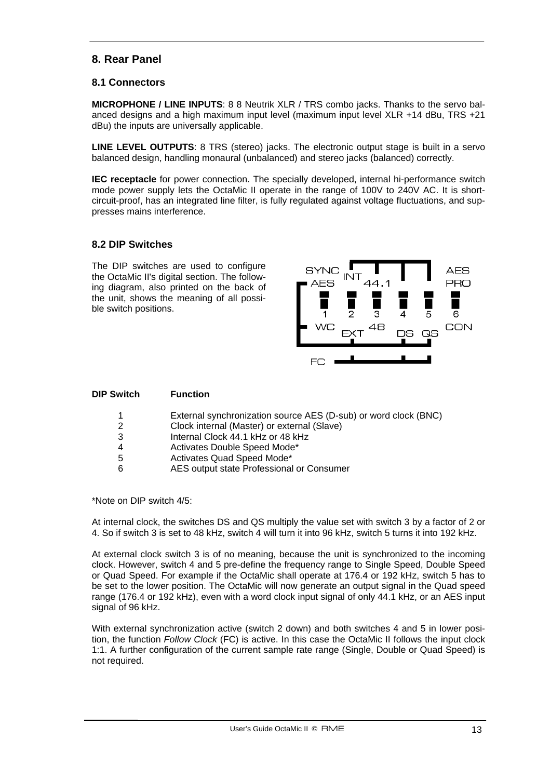# **8. Rear Panel**

#### **8.1 Connectors**

**MICROPHONE / LINE INPUTS**: 8 8 Neutrik XLR / TRS combo jacks. Thanks to the servo balanced designs and a high maximum input level (maximum input level XLR +14 dBu, TRS +21 dBu) the inputs are universally applicable.

**LINE LEVEL OUTPUTS**: 8 TRS (stereo) jacks. The electronic output stage is built in a servo balanced design, handling monaural (unbalanced) and stereo jacks (balanced) correctly.

**IEC receptacle** for power connection. The specially developed, internal hi-performance switch mode power supply lets the OctaMic II operate in the range of 100V to 240V AC. It is shortcircuit-proof, has an integrated line filter, is fully regulated against voltage fluctuations, and suppresses mains interference.

#### **8.2 DIP Switches**

The DIP switches are used to configure the OctaMic II's digital section. The following diagram, also printed on the back of the unit, shows the meaning of all possible switch positions.



| <b>DIP Switch</b> | <b>Function</b>                                                 |
|-------------------|-----------------------------------------------------------------|
|                   | External synchronization source AES (D-sub) or word clock (BNC) |
| 2                 | Clock internal (Master) or external (Slave)                     |
| 3                 | Internal Clock 44.1 kHz or 48 kHz                               |
| 4                 | Activates Double Speed Mode*                                    |
| 5                 | Activates Quad Speed Mode*                                      |
| 6                 | AES output state Professional or Consumer                       |

\*Note on DIP switch 4/5:

At internal clock, the switches DS and QS multiply the value set with switch 3 by a factor of 2 or 4. So if switch 3 is set to 48 kHz, switch 4 will turn it into 96 kHz, switch 5 turns it into 192 kHz.

At external clock switch 3 is of no meaning, because the unit is synchronized to the incoming clock. However, switch 4 and 5 pre-define the frequency range to Single Speed, Double Speed or Quad Speed. For example if the OctaMic shall operate at 176.4 or 192 kHz, switch 5 has to be set to the lower position. The OctaMic will now generate an output signal in the Quad speed range (176.4 or 192 kHz), even with a word clock input signal of only 44.1 kHz, or an AES input signal of 96 kHz.

With external synchronization active (switch 2 down) and both switches 4 and 5 in lower position, the function *Follow Clock* (FC) is active. In this case the OctaMic II follows the input clock 1:1. A further configuration of the current sample rate range (Single, Double or Quad Speed) is not required.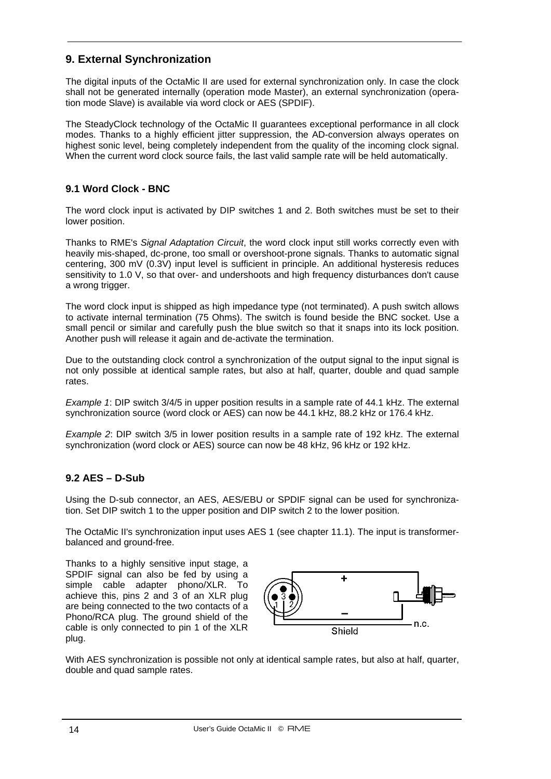# **9. External Synchronization**

The digital inputs of the OctaMic II are used for external synchronization only. In case the clock shall not be generated internally (operation mode Master), an external synchronization (operation mode Slave) is available via word clock or AES (SPDIF).

The SteadyClock technology of the OctaMic II guarantees exceptional performance in all clock modes. Thanks to a highly efficient jitter suppression, the AD-conversion always operates on highest sonic level, being completely independent from the quality of the incoming clock signal. When the current word clock source fails, the last valid sample rate will be held automatically.

# **9.1 Word Clock - BNC**

The word clock input is activated by DIP switches 1 and 2. Both switches must be set to their lower position.

Thanks to RME's *Signal Adaptation Circuit*, the word clock input still works correctly even with heavily mis-shaped, dc-prone, too small or overshoot-prone signals. Thanks to automatic signal centering, 300 mV (0.3V) input level is sufficient in principle. An additional hysteresis reduces sensitivity to 1.0 V, so that over- and undershoots and high frequency disturbances don't cause a wrong trigger.

The word clock input is shipped as high impedance type (not terminated). A push switch allows to activate internal termination (75 Ohms). The switch is found beside the BNC socket. Use a small pencil or similar and carefully push the blue switch so that it snaps into its lock position. Another push will release it again and de-activate the termination.

Due to the outstanding clock control a synchronization of the output signal to the input signal is not only possible at identical sample rates, but also at half, quarter, double and quad sample rates.

*Example 1*: DIP switch 3/4/5 in upper position results in a sample rate of 44.1 kHz. The external synchronization source (word clock or AES) can now be 44.1 kHz, 88.2 kHz or 176.4 kHz.

*Example 2*: DIP switch 3/5 in lower position results in a sample rate of 192 kHz. The external synchronization (word clock or AES) source can now be 48 kHz, 96 kHz or 192 kHz.

#### **9.2 AES – D-Sub**

Using the D-sub connector, an AES, AES/EBU or SPDIF signal can be used for synchronization. Set DIP switch 1 to the upper position and DIP switch 2 to the lower position.

The OctaMic II's synchronization input uses AES 1 (see chapter 11.1). The input is transformerbalanced and ground-free.

Thanks to a highly sensitive input stage, a SPDIF signal can also be fed by using a simple cable adapter phono/XLR. To achieve this, pins 2 and 3 of an XLR plug are being connected to the two contacts of a Phono/RCA plug. The ground shield of the cable is only connected to pin 1 of the XLR plug.



With AES synchronization is possible not only at identical sample rates, but also at half, quarter, double and quad sample rates.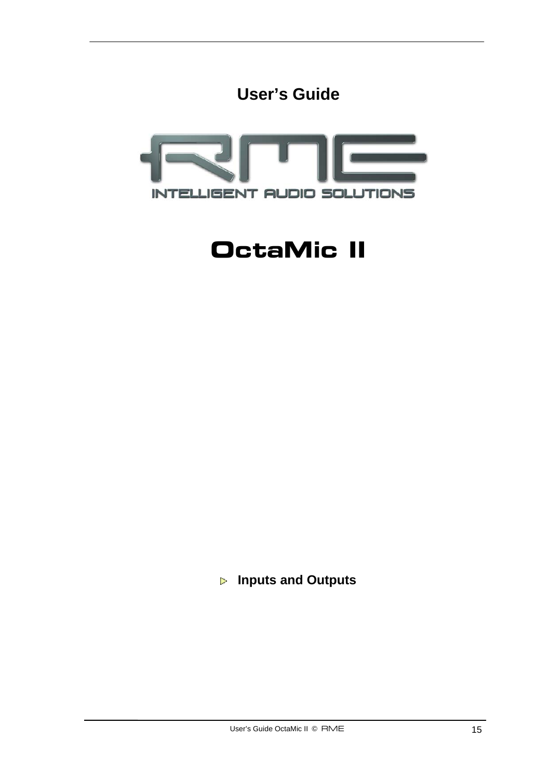



# **OctaMic II**

 **Inputs and Outputs**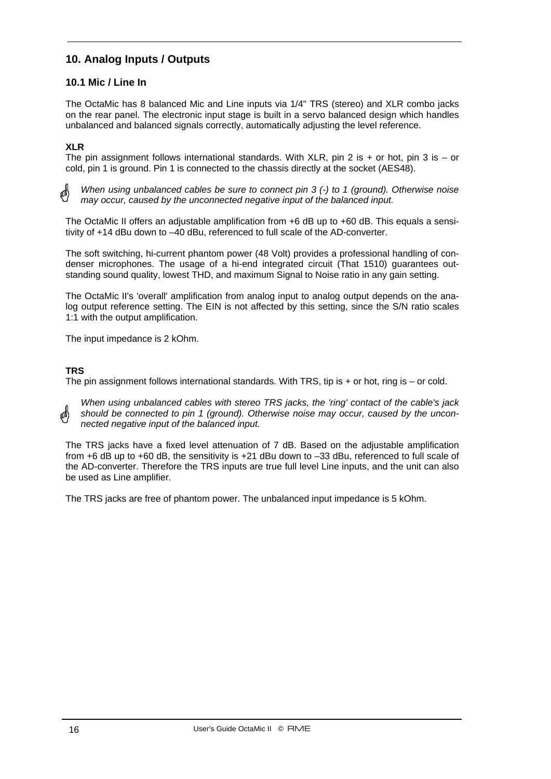# **10. Analog Inputs / Outputs**

#### **10.1 Mic / Line In**

The OctaMic has 8 balanced Mic and Line inputs via 1/4" TRS (stereo) and XLR combo jacks on the rear panel. The electronic input stage is built in a servo balanced design which handles unbalanced and balanced signals correctly, automatically adjusting the level reference.

#### **XLR**

The pin assignment follows international standards. With XLR, pin 2 is  $+$  or hot, pin 3 is  $-$  or cold, pin 1 is ground. Pin 1 is connected to the chassis directly at the socket (AES48).

*When using unbalanced cables be sure to connect pin 3 (-) to 1 (ground). Otherwise noise may occur, caused by the unconnected negative input of the balanced input.*

The OctaMic II offers an adjustable amplification from +6 dB up to +60 dB. This equals a sensitivity of +14 dBu down to –40 dBu, referenced to full scale of the AD-converter.

The soft switching, hi-current phantom power (48 Volt) provides a professional handling of condenser microphones. The usage of a hi-end integrated circuit (That 1510) guarantees outstanding sound quality, lowest THD, and maximum Signal to Noise ratio in any gain setting.

The OctaMic II's 'overall' amplification from analog input to analog output depends on the analog output reference setting. The EIN is not affected by this setting, since the S/N ratio scales 1:1 with the output amplification.

The input impedance is 2 kOhm.

#### **TRS**

The pin assignment follows international standards. With TRS, tip is + or hot, ring is – or cold.

*When using unbalanced cables with stereo TRS jacks, the 'ring' contact of the cable's jack should be connected to pin 1 (ground). Otherwise noise may occur, caused by the unconnected negative input of the balanced input.*

The TRS jacks have a fixed level attenuation of 7 dB. Based on the adjustable amplification from +6 dB up to +60 dB, the sensitivity is +21 dBu down to –33 dBu, referenced to full scale of the AD-converter. Therefore the TRS inputs are true full level Line inputs, and the unit can also be used as Line amplifier.

The TRS jacks are free of phantom power. The unbalanced input impedance is 5 kOhm.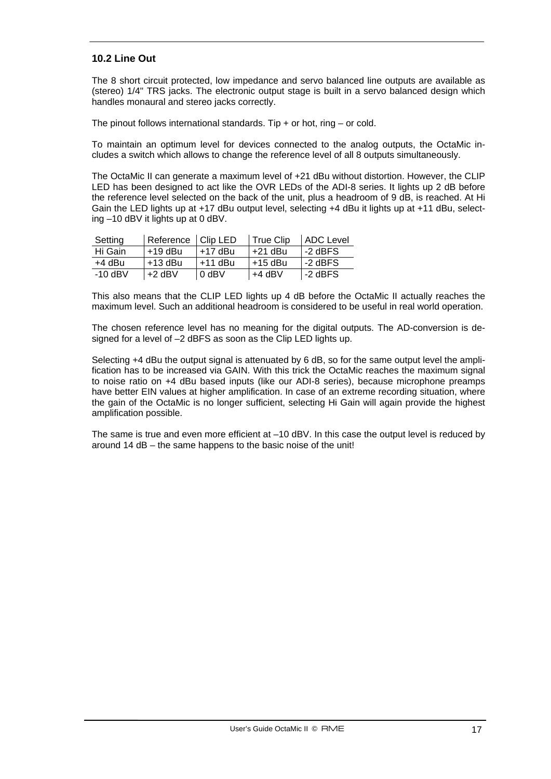#### **10.2 Line Out**

The 8 short circuit protected, low impedance and servo balanced line outputs are available as (stereo) 1/4" TRS jacks. The electronic output stage is built in a servo balanced design which handles monaural and stereo jacks correctly.

The pinout follows international standards. Tip  $+$  or hot, ring  $-$  or cold.

To maintain an optimum level for devices connected to the analog outputs, the OctaMic includes a switch which allows to change the reference level of all 8 outputs simultaneously.

The OctaMic II can generate a maximum level of +21 dBu without distortion. However, the CLIP LED has been designed to act like the OVR LEDs of the ADI-8 series. It lights up 2 dB before the reference level selected on the back of the unit, plus a headroom of 9 dB, is reached. At Hi Gain the LED lights up at +17 dBu output level, selecting +4 dBu it lights up at +11 dBu, selecting –10 dBV it lights up at 0 dBV.

| Setting   | Reference   Clip LED |           | True Clip | <b>ADC Level</b> |
|-----------|----------------------|-----------|-----------|------------------|
| Hi Gain   | $+19$ dBu            | $+17$ dBu | l +21 dBu | -2 dBFS          |
| +4 dBu    | $+13$ dBu            | $+11$ dBu | l +15 dBu | l -2 dBFS        |
| $-10$ dBV | $+2$ dBV             | $0$ dBV   | $+4$ dBV  | l -2 dBFS        |

This also means that the CLIP LED lights up 4 dB before the OctaMic II actually reaches the maximum level. Such an additional headroom is considered to be useful in real world operation.

The chosen reference level has no meaning for the digital outputs. The AD-conversion is designed for a level of –2 dBFS as soon as the Clip LED lights up.

Selecting +4 dBu the output signal is attenuated by 6 dB, so for the same output level the amplification has to be increased via GAIN. With this trick the OctaMic reaches the maximum signal to noise ratio on +4 dBu based inputs (like our ADI-8 series), because microphone preamps have better EIN values at higher amplification. In case of an extreme recording situation, where the gain of the OctaMic is no longer sufficient, selecting Hi Gain will again provide the highest amplification possible.

The same is true and even more efficient at  $-10$  dBV. In this case the output level is reduced by around 14 dB – the same happens to the basic noise of the unit!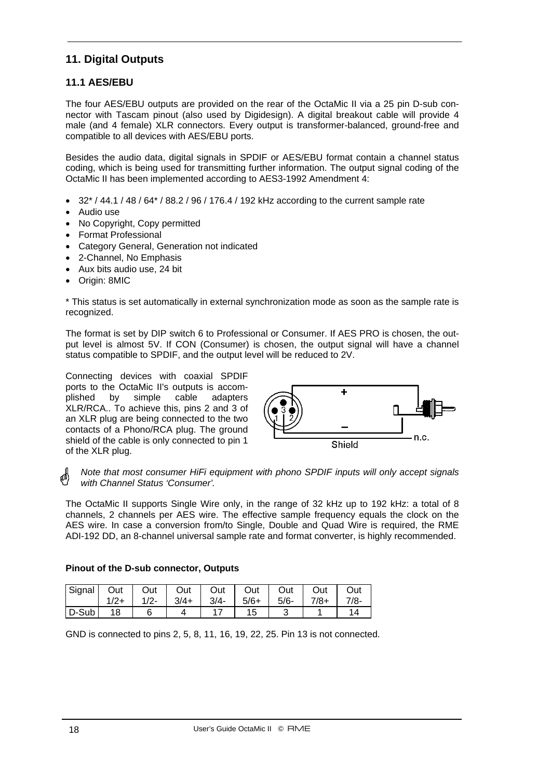# **11. Digital Outputs**

# **11.1 AES/EBU**

The four AES/EBU outputs are provided on the rear of the OctaMic II via a 25 pin D-sub connector with Tascam pinout (also used by Digidesign). A digital breakout cable will provide 4 male (and 4 female) XLR connectors. Every output is transformer-balanced, ground-free and compatible to all devices with AES/EBU ports.

Besides the audio data, digital signals in SPDIF or AES/EBU format contain a channel status coding, which is being used for transmitting further information. The output signal coding of the OctaMic II has been implemented according to AES3-1992 Amendment 4:

- $32^{*}$  / 44.1 / 48 / 64 $*$  / 88.2 / 96 / 176.4 / 192 kHz according to the current sample rate
- Audio use
- No Copyright, Copy permitted
- Format Professional
- Category General, Generation not indicated
- 2-Channel, No Emphasis
- Aux bits audio use, 24 bit
- Origin: 8MIC

\* This status is set automatically in external synchronization mode as soon as the sample rate is recognized.

The format is set by DIP switch 6 to Professional or Consumer. If AES PRO is chosen, the output level is almost 5V. If CON (Consumer) is chosen, the output signal will have a channel status compatible to SPDIF, and the output level will be reduced to 2V.

Connecting devices with coaxial SPDIF ports to the OctaMic II's outputs is accomplished by simple cable adapters XLR/RCA.. To achieve this, pins 2 and 3 of an XLR plug are being connected to the two contacts of a Phono/RCA plug. The ground shield of the cable is only connected to pin 1 of the XLR plug.



*Note that most consumer HiFi equipment with phono SPDIF inputs will only accept signals*  a\$ *with Channel Status 'Consumer'.* 

The OctaMic II supports Single Wire only, in the range of 32 kHz up to 192 kHz: a total of 8 channels, 2 channels per AES wire. The effective sample frequency equals the clock on the AES wire. In case a conversion from/to Single, Double and Quad Wire is required, the RME ADI-192 DD, an 8-channel universal sample rate and format converter, is highly recommended.

#### **Pinout of the D-sub connector, Outputs**

| Signal   Out |        |  |  | Out   Out   Out   Out   Out   Out |        | Out    |
|--------------|--------|--|--|-----------------------------------|--------|--------|
|              | $1/2+$ |  |  | $1/2 -$ 3/4+ 3/4- 5/6+ 5/6-       | 7/8+ l | $7/8-$ |
| $D-Sub$      | 18     |  |  |                                   |        |        |

GND is connected to pins 2, 5, 8, 11, 16, 19, 22, 25. Pin 13 is not connected.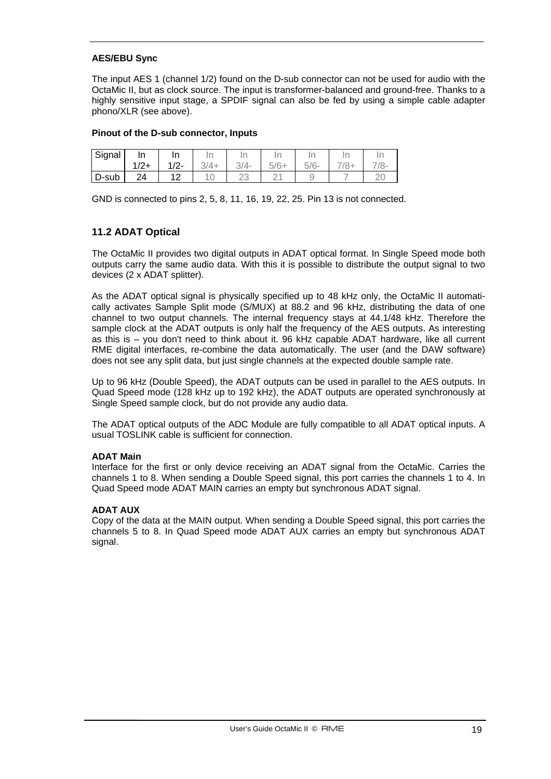#### **AES/EBU Sync**

The input AES 1 (channel 1/2) found on the D-sub connector can not be used for audio with the OctaMic II, but as clock source. The input is transformer-balanced and ground-free. Thanks to a highly sensitive input stage, a SPDIF signal can also be fed by using a simple cable adapter phono/XLR (see above).

#### **Pinout of the D-sub connector, Inputs**

| Signal                  | In<br>$1/2+$ | In<br>ш<br>1/2 | <br>$3/4+$ | $3/4-$ | $5/6+$ | $5/6-$ | In<br>'≍∸ | Ir |
|-------------------------|--------------|----------------|------------|--------|--------|--------|-----------|----|
| $\mathsf{D}\text{-sub}$ | 24           |                |            | ∠J     |        |        |           | ∼  |

GND is connected to pins 2, 5, 8, 11, 16, 19, 22, 25. Pin 13 is not connected.

#### **11.2 ADAT Optical**

The OctaMic II provides two digital outputs in ADAT optical format. In Single Speed mode both outputs carry the same audio data. With this it is possible to distribute the output signal to two devices (2 x ADAT splitter).

As the ADAT optical signal is physically specified up to 48 kHz only, the OctaMic II automatically activates Sample Split mode (S/MUX) at 88.2 and 96 kHz, distributing the data of one channel to two output channels. The internal frequency stays at 44.1/48 kHz. Therefore the sample clock at the ADAT outputs is only half the frequency of the AES outputs. As interesting as this is – you don't need to think about it. 96 kHz capable ADAT hardware, like all current RME digital interfaces, re-combine the data automatically. The user (and the DAW software) does not see any split data, but just single channels at the expected double sample rate.

Up to 96 kHz (Double Speed), the ADAT outputs can be used in parallel to the AES outputs. In Quad Speed mode (128 kHz up to 192 kHz), the ADAT outputs are operated synchronously at Single Speed sample clock, but do not provide any audio data.

The ADAT optical outputs of the ADC Module are fully compatible to all ADAT optical inputs. A usual TOSLINK cable is sufficient for connection.

#### **ADAT Main**

Interface for the first or only device receiving an ADAT signal from the OctaMic. Carries the channels 1 to 8. When sending a Double Speed signal, this port carries the channels 1 to 4. In Quad Speed mode ADAT MAIN carries an empty but synchronous ADAT signal.

#### **ADAT AUX**

Copy of the data at the MAIN output. When sending a Double Speed signal, this port carries the channels 5 to 8. In Quad Speed mode ADAT AUX carries an empty but synchronous ADAT signal.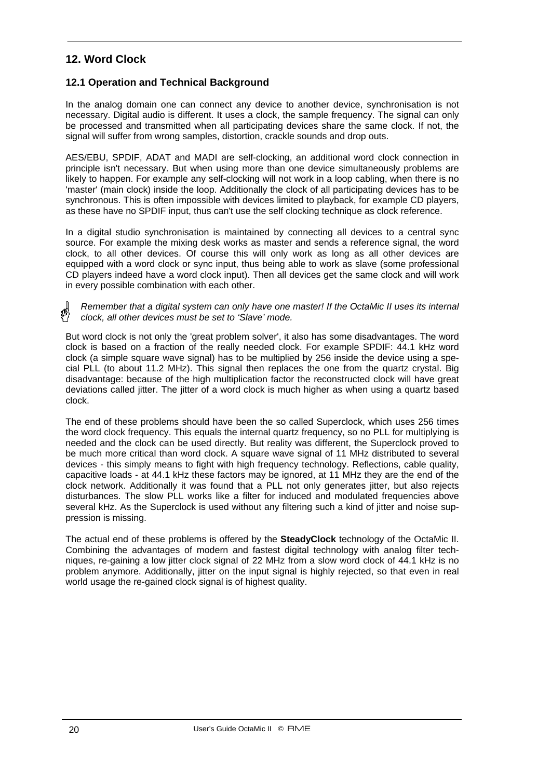# **12. Word Clock**

#### **12.1 Operation and Technical Background**

In the analog domain one can connect any device to another device, synchronisation is not necessary. Digital audio is different. It uses a clock, the sample frequency. The signal can only be processed and transmitted when all participating devices share the same clock. If not, the signal will suffer from wrong samples, distortion, crackle sounds and drop outs.

AES/EBU, SPDIF, ADAT and MADI are self-clocking, an additional word clock connection in principle isn't necessary. But when using more than one device simultaneously problems are likely to happen. For example any self-clocking will not work in a loop cabling, when there is no 'master' (main clock) inside the loop. Additionally the clock of all participating devices has to be synchronous. This is often impossible with devices limited to playback, for example CD players, as these have no SPDIF input, thus can't use the self clocking technique as clock reference.

In a digital studio synchronisation is maintained by connecting all devices to a central sync source. For example the mixing desk works as master and sends a reference signal, the word clock, to all other devices. Of course this will only work as long as all other devices are equipped with a word clock or sync input, thus being able to work as slave (some professional CD players indeed have a word clock input). Then all devices get the same clock and will work in every possible combination with each other.

#### *Remember that a digital system can only have one master! If the OctaMic II uses its internal clock, all other devices must be set to 'Slave' mode.*

But word clock is not only the 'great problem solver', it also has some disadvantages. The word clock is based on a fraction of the really needed clock. For example SPDIF: 44.1 kHz word clock (a simple square wave signal) has to be multiplied by 256 inside the device using a special PLL (to about 11.2 MHz). This signal then replaces the one from the quartz crystal. Big disadvantage: because of the high multiplication factor the reconstructed clock will have great deviations called jitter. The jitter of a word clock is much higher as when using a quartz based clock.

The end of these problems should have been the so called Superclock, which uses 256 times the word clock frequency. This equals the internal quartz frequency, so no PLL for multiplying is needed and the clock can be used directly. But reality was different, the Superclock proved to be much more critical than word clock. A square wave signal of 11 MHz distributed to several devices - this simply means to fight with high frequency technology. Reflections, cable quality, capacitive loads - at 44.1 kHz these factors may be ignored, at 11 MHz they are the end of the clock network. Additionally it was found that a PLL not only generates jitter, but also rejects disturbances. The slow PLL works like a filter for induced and modulated frequencies above several kHz. As the Superclock is used without any filtering such a kind of jitter and noise suppression is missing.

The actual end of these problems is offered by the **SteadyClock** technology of the OctaMic II. Combining the advantages of modern and fastest digital technology with analog filter techniques, re-gaining a low jitter clock signal of 22 MHz from a slow word clock of 44.1 kHz is no problem anymore. Additionally, jitter on the input signal is highly rejected, so that even in real world usage the re-gained clock signal is of highest quality.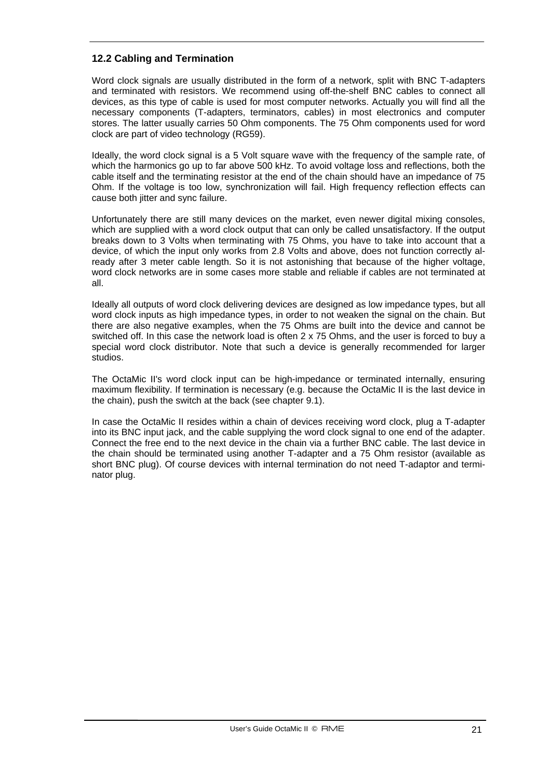# **12.2 Cabling and Termination**

Word clock signals are usually distributed in the form of a network, split with BNC T-adapters and terminated with resistors. We recommend using off-the-shelf BNC cables to connect all devices, as this type of cable is used for most computer networks. Actually you will find all the necessary components (T-adapters, terminators, cables) in most electronics and computer stores. The latter usually carries 50 Ohm components. The 75 Ohm components used for word clock are part of video technology (RG59).

Ideally, the word clock signal is a 5 Volt square wave with the frequency of the sample rate, of which the harmonics go up to far above 500 kHz. To avoid voltage loss and reflections, both the cable itself and the terminating resistor at the end of the chain should have an impedance of 75 Ohm. If the voltage is too low, synchronization will fail. High frequency reflection effects can cause both jitter and sync failure.

Unfortunately there are still many devices on the market, even newer digital mixing consoles, which are supplied with a word clock output that can only be called unsatisfactory. If the output breaks down to 3 Volts when terminating with 75 Ohms, you have to take into account that a device, of which the input only works from 2.8 Volts and above, does not function correctly already after 3 meter cable length. So it is not astonishing that because of the higher voltage, word clock networks are in some cases more stable and reliable if cables are not terminated at all.

Ideally all outputs of word clock delivering devices are designed as low impedance types, but all word clock inputs as high impedance types, in order to not weaken the signal on the chain. But there are also negative examples, when the 75 Ohms are built into the device and cannot be switched off. In this case the network load is often 2 x 75 Ohms, and the user is forced to buy a special word clock distributor. Note that such a device is generally recommended for larger studios.

The OctaMic II's word clock input can be high-impedance or terminated internally, ensuring maximum flexibility. If termination is necessary (e.g. because the OctaMic II is the last device in the chain), push the switch at the back (see chapter 9.1).

In case the OctaMic II resides within a chain of devices receiving word clock, plug a T-adapter into its BNC input jack, and the cable supplying the word clock signal to one end of the adapter. Connect the free end to the next device in the chain via a further BNC cable. The last device in the chain should be terminated using another T-adapter and a 75 Ohm resistor (available as short BNC plug). Of course devices with internal termination do not need T-adaptor and terminator plug.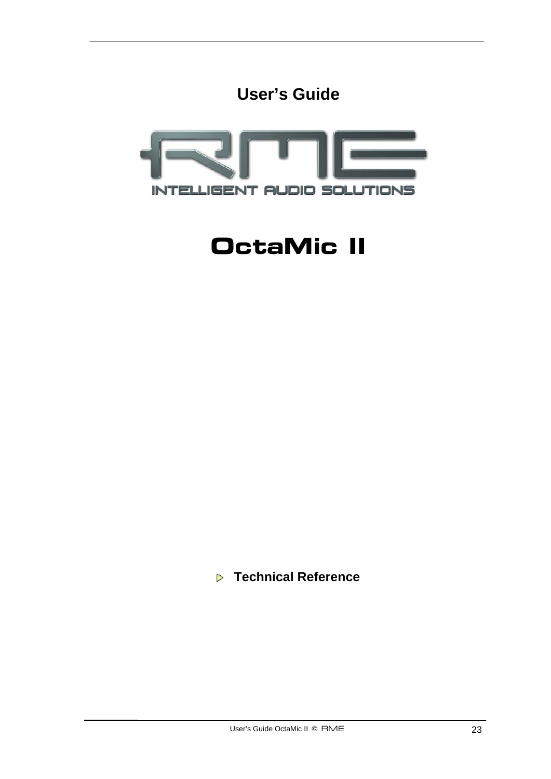



# **OctaMic II**

 **Technical Reference**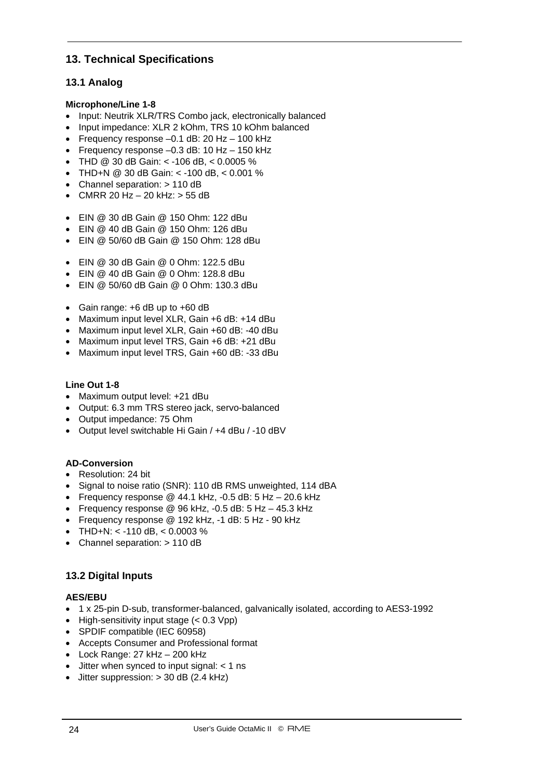# **13. Technical Specifications**

# **13.1 Analog**

#### **Microphone/Line 1-8**

- Input: Neutrik XLR/TRS Combo jack, electronically balanced
- Input impedance: XLR 2 kOhm, TRS 10 kOhm balanced
- Frequency response –0.1 dB: 20 Hz 100 kHz
- Frequency response –0.3 dB: 10 Hz 150 kHz
- THD @ 30 dB Gain: < -106 dB, < 0.0005 %
- THD+N @ 30 dB Gain: < -100 dB, < 0.001 %
- Channel separation: > 110 dB
- CMRR 20 Hz  $-$  20 kHz:  $>$  55 dB
- EIN @ 30 dB Gain @ 150 Ohm: 122 dBu
- EIN @ 40 dB Gain @ 150 Ohm: 126 dBu
- EIN @ 50/60 dB Gain @ 150 Ohm: 128 dBu
- EIN @ 30 dB Gain @ 0 Ohm: 122.5 dBu
- FIN  $@$  40 dB Gain  $@$  0 Ohm; 128.8 dBu
- EIN @ 50/60 dB Gain @ 0 Ohm: 130.3 dBu
- Gain range: +6 dB up to +60 dB
- Maximum input level XLR, Gain +6 dB: +14 dBu
- Maximum input level XLR, Gain +60 dB: -40 dBu
- Maximum input level TRS, Gain +6 dB: +21 dBu
- Maximum input level TRS, Gain +60 dB: -33 dBu

#### **Line Out 1-8**

- Maximum output level: +21 dBu
- Output: 6.3 mm TRS stereo jack, servo-balanced
- Output impedance: 75 Ohm
- Output level switchable Hi Gain / +4 dBu / -10 dBV

#### **AD-Conversion**

- Resolution: 24 bit
- Signal to noise ratio (SNR): 110 dB RMS unweighted, 114 dBA
- Frequency response  $@$  44.1 kHz, -0.5 dB: 5 Hz  $-$  20.6 kHz
- Frequency response  $@96$  kHz,  $-0.5$  dB:  $5$  Hz  $-$  45.3 kHz
- Frequency response @ 192 kHz, -1 dB: 5 Hz 90 kHz
- THD+N: < -110 dB, <  $0.0003$  %
- Channel separation: > 110 dB

# **13.2 Digital Inputs**

#### **AES/EBU**

- 1 x 25-pin D-sub, transformer-balanced, galvanically isolated, according to AES3-1992
- High-sensitivity input stage  $(< 0.3$  Vpp)
- SPDIF compatible (IEC 60958)
- Accepts Consumer and Professional format
- Lock Range: 27 kHz 200 kHz
- Jitter when synced to input signal: < 1 ns
- Jitter suppression: > 30 dB (2.4 kHz)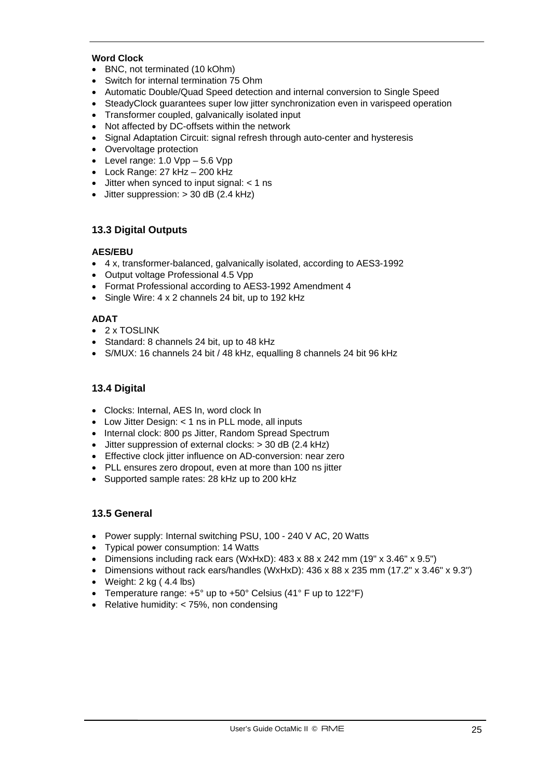#### **Word Clock**

- BNC, not terminated (10 kOhm)
- Switch for internal termination 75 Ohm
- Automatic Double/Quad Speed detection and internal conversion to Single Speed
- SteadyClock guarantees super low jitter synchronization even in varispeed operation
- Transformer coupled, galvanically isolated input
- Not affected by DC-offsets within the network
- Signal Adaptation Circuit: signal refresh through auto-center and hysteresis
- Overvoltage protection
- Level range:  $1.0 \text{ Vpp} 5.6 \text{ Vpp}$
- Lock Range: 27 kHz 200 kHz
- Jitter when synced to input signal: < 1 ns
- Jitter suppression:  $>$  30 dB (2.4 kHz)

#### **13.3 Digital Outputs**

#### **AES/EBU**

- 4 x, transformer-balanced, galvanically isolated, according to AES3-1992
- Output voltage Professional 4.5 Vpp
- Format Professional according to AES3-1992 Amendment 4
- Single Wire: 4 x 2 channels 24 bit, up to 192 kHz

#### **ADAT**

- 2 x TOSLINK
- Standard: 8 channels 24 bit, up to 48 kHz
- S/MUX: 16 channels 24 bit / 48 kHz, equalling 8 channels 24 bit 96 kHz

#### **13.4 Digital**

- Clocks: Internal, AES In, word clock In
- Low Jitter Design: < 1 ns in PLL mode, all inputs
- Internal clock: 800 ps Jitter, Random Spread Spectrum
- Jitter suppression of external clocks: > 30 dB (2.4 kHz)
- Effective clock jitter influence on AD-conversion: near zero
- PLL ensures zero dropout, even at more than 100 ns jitter
- Supported sample rates: 28 kHz up to 200 kHz

#### **13.5 General**

- Power supply: Internal switching PSU, 100 240 V AC, 20 Watts
- Typical power consumption: 14 Watts
- Dimensions including rack ears (WxHxD): 483 x 88 x 242 mm (19" x 3.46" x 9.5")
- Dimensions without rack ears/handles (WxHxD):  $436 \times 88 \times 235$  mm  $(17.2" \times 3.46" \times 9.3")$
- Weight: 2 kg ( 4.4 lbs)
- Temperature range:  $+5^{\circ}$  up to  $+50^{\circ}$  Celsius (41° F up to 122°F)
- Relative humidity: < 75%, non condensing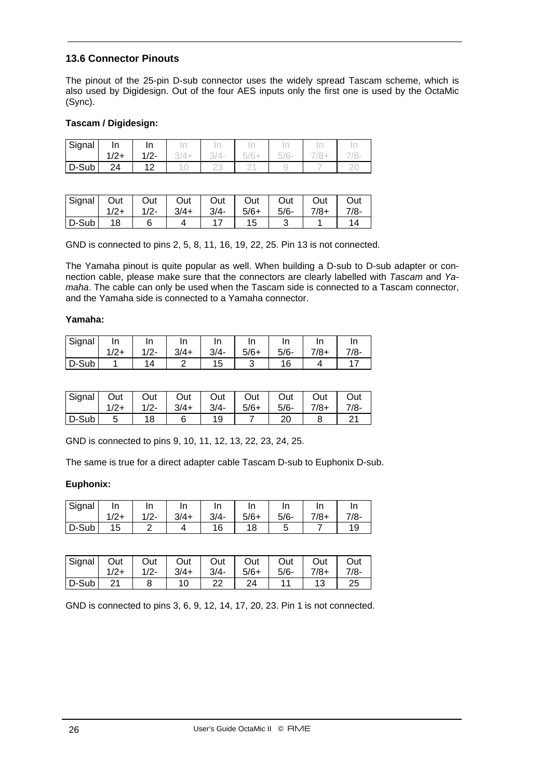#### **13.6 Connector Pinouts**

The pinout of the 25-pin D-sub connector uses the widely spread Tascam scheme, which is also used by Digidesign. Out of the four AES inputs only the first one is used by the OctaMic (Sync).

#### **Tascam / Digidesign:**

| Signal | In     | In      |     |       |                   | <b>ACCORD</b>          |          |
|--------|--------|---------|-----|-------|-------------------|------------------------|----------|
|        | $1/2+$ | $1/2 -$ | 74+ | '3/4- | $161 +$<br>$\sim$ | i/6-<br>$\overline{a}$ |          |
| D-Sub  | 24     | 1 ຕ     |     |       |                   |                        | <u>_</u> |

| Signal Out   Out   Out   Out   Out   Out   Out |    |                                         |  |      |      | Out    |
|------------------------------------------------|----|-----------------------------------------|--|------|------|--------|
|                                                |    | $1/2$ + $1/2$ - $3/4$ + $3/4$ - $5/6$ + |  | 5/6- | 7/8+ | $7/8-$ |
| $D-Sub$                                        | 18 |                                         |  |      |      |        |

GND is connected to pins 2, 5, 8, 11, 16, 19, 22, 25. Pin 13 is not connected.

The Yamaha pinout is quite popular as well. When building a D-sub to D-sub adapter or connection cable, please make sure that the connectors are clearly labelled with *Tascam* and *Yamaha*. The cable can only be used when the Tascam side is connected to a Tascam connector, and the Yamaha side is connected to a Yamaha connector.

#### **Yamaha:**

| Signal | In              | In  | I۳<br> |         | In     | In      |           | In     |
|--------|-----------------|-----|--------|---------|--------|---------|-----------|--------|
|        | 1/2<br>$\sim$ 1 | 1/2 | $3/4+$ | $3/4 -$ | $5/6+$ | $5/6 -$ | $^{7/8+}$ | $7/8-$ |
| D-Sub  |                 | Δ   |        | 15      |        |         |           |        |

| Signal   Out |    |    | Out   Out   Out   Out   Out   Out                            | Out    |
|--------------|----|----|--------------------------------------------------------------|--------|
|              |    |    | $1/2+$   $1/2-$   $3/4+$   $3/4-$   $5/6+$   $5/6-$   $7/8+$ | $7/8-$ |
| $D-Sub$      | 18 | 19 | 20                                                           |        |

GND is connected to pins 9, 10, 11, 12, 13, 22, 23, 24, 25.

The same is true for a direct adapter cable Tascam D-sub to Euphonix D-sub.

#### **Euphonix:**

| Signal | In    | In      | In     | In<br>  | In     | In     | In     |        |
|--------|-------|---------|--------|---------|--------|--------|--------|--------|
|        | $/2+$ | $1/2 -$ | $3/4+$ | $3/4 -$ | $5/6+$ | $5/6-$ | $7/8+$ | $7/8-$ |
| D-Sub  | 15    |         |        |         | 18     |        |        |        |

|         |    | Signal Out   Out   Out   Out   Out   Out   Out              |    |    |  | Out    |
|---------|----|-------------------------------------------------------------|----|----|--|--------|
|         |    | $1/2$ + $1/2$ - $3/4$ + $3/4$ - $5/6$ + $5/6$ - $7/8$ + $1$ |    |    |  | $7/8-$ |
| $D-Sub$ | 21 |                                                             | 22 | 24 |  | 25     |

GND is connected to pins 3, 6, 9, 12, 14, 17, 20, 23. Pin 1 is not connected.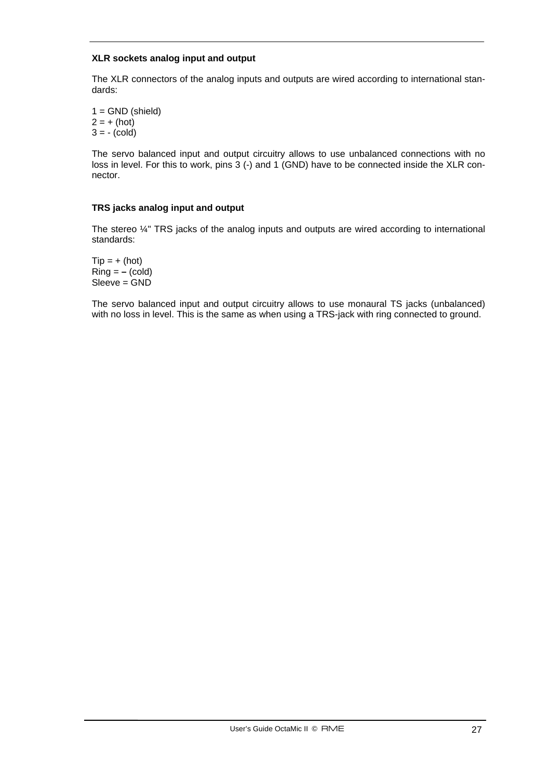#### **XLR sockets analog input and output**

The XLR connectors of the analog inputs and outputs are wired according to international standards:

 $1 =$  GND (shield)  $2 = + (hot)$  $3 = -$  (cold)

The servo balanced input and output circuitry allows to use unbalanced connections with no loss in level. For this to work, pins 3 (-) and 1 (GND) have to be connected inside the XLR connector.

#### **TRS jacks analog input and output**

The stereo  $\frac{1}{4}$ " TRS jacks of the analog inputs and outputs are wired according to international standards:

 $Tip = + (hot)$  $Ring = -$  (cold) Sleeve = GND

The servo balanced input and output circuitry allows to use monaural TS jacks (unbalanced) with no loss in level. This is the same as when using a TRS-jack with ring connected to ground.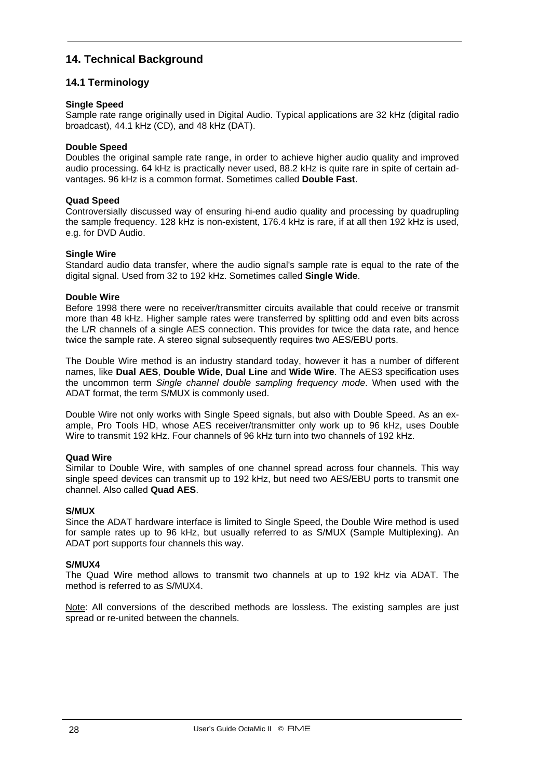# **14. Technical Background**

#### **14.1 Terminology**

#### **Single Speed**

Sample rate range originally used in Digital Audio. Typical applications are 32 kHz (digital radio broadcast), 44.1 kHz (CD), and 48 kHz (DAT).

#### **Double Speed**

Doubles the original sample rate range, in order to achieve higher audio quality and improved audio processing. 64 kHz is practically never used, 88.2 kHz is quite rare in spite of certain advantages. 96 kHz is a common format. Sometimes called **Double Fast**.

#### **Quad Speed**

Controversially discussed way of ensuring hi-end audio quality and processing by quadrupling the sample frequency. 128 kHz is non-existent, 176.4 kHz is rare, if at all then 192 kHz is used, e.g. for DVD Audio.

#### **Single Wire**

Standard audio data transfer, where the audio signal's sample rate is equal to the rate of the digital signal. Used from 32 to 192 kHz. Sometimes called **Single Wide**.

#### **Double Wire**

Before 1998 there were no receiver/transmitter circuits available that could receive or transmit more than 48 kHz. Higher sample rates were transferred by splitting odd and even bits across the L/R channels of a single AES connection. This provides for twice the data rate, and hence twice the sample rate. A stereo signal subsequently requires two AES/EBU ports.

The Double Wire method is an industry standard today, however it has a number of different names, like **Dual AES**, **Double Wide**, **Dual Line** and **Wide Wire**. The AES3 specification uses the uncommon term *Single channel double sampling frequency mode*. When used with the ADAT format, the term S/MUX is commonly used.

Double Wire not only works with Single Speed signals, but also with Double Speed. As an example, Pro Tools HD, whose AES receiver/transmitter only work up to 96 kHz, uses Double Wire to transmit 192 kHz. Four channels of 96 kHz turn into two channels of 192 kHz.

#### **Quad Wire**

Similar to Double Wire, with samples of one channel spread across four channels. This way single speed devices can transmit up to 192 kHz, but need two AES/EBU ports to transmit one channel. Also called **Quad AES**.

#### **S/MUX**

Since the ADAT hardware interface is limited to Single Speed, the Double Wire method is used for sample rates up to 96 kHz, but usually referred to as S/MUX (Sample Multiplexing). An ADAT port supports four channels this way.

#### **S/MUX4**

The Quad Wire method allows to transmit two channels at up to 192 kHz via ADAT. The method is referred to as S/MUX4.

Note: All conversions of the described methods are lossless. The existing samples are just spread or re-united between the channels.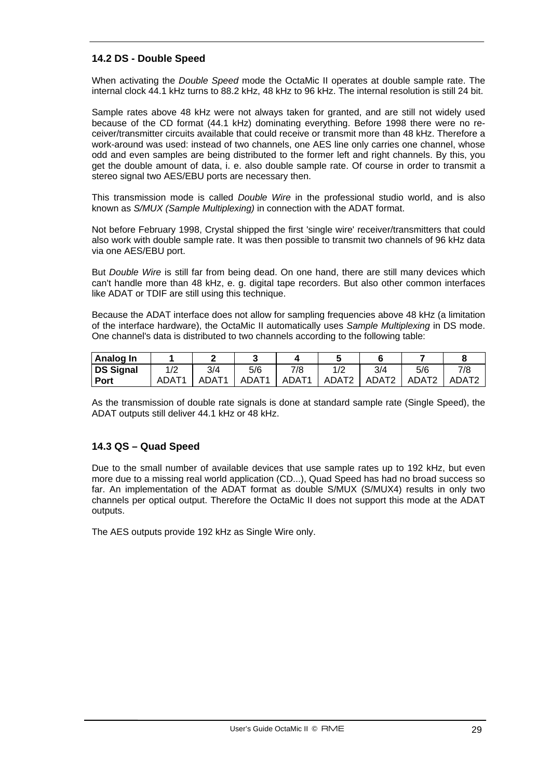### **14.2 DS - Double Speed**

When activating the *Double Speed* mode the OctaMic II operates at double sample rate. The internal clock 44.1 kHz turns to 88.2 kHz, 48 kHz to 96 kHz. The internal resolution is still 24 bit.

Sample rates above 48 kHz were not always taken for granted, and are still not widely used because of the CD format (44.1 kHz) dominating everything. Before 1998 there were no receiver/transmitter circuits available that could receive or transmit more than 48 kHz. Therefore a work-around was used: instead of two channels, one AES line only carries one channel, whose odd and even samples are being distributed to the former left and right channels. By this, you get the double amount of data, i. e. also double sample rate. Of course in order to transmit a stereo signal two AES/EBU ports are necessary then.

This transmission mode is called *Double Wire* in the professional studio world, and is also known as *S/MUX (Sample Multiplexing)* in connection with the ADAT format.

Not before February 1998, Crystal shipped the first 'single wire' receiver/transmitters that could also work with double sample rate. It was then possible to transmit two channels of 96 kHz data via one AES/EBU port.

But *Double Wire* is still far from being dead. On one hand, there are still many devices which can't handle more than 48 kHz, e. g. digital tape recorders. But also other common interfaces like ADAT or TDIF are still using this technique.

Because the ADAT interface does not allow for sampling frequencies above 48 kHz (a limitation of the interface hardware), the OctaMic II automatically uses *Sample Multiplexing* in DS mode. One channel's data is distributed to two channels according to the following table:

| Analog In   |       |                   |                   |                   |                   |                   |                   |                   |
|-------------|-------|-------------------|-------------------|-------------------|-------------------|-------------------|-------------------|-------------------|
| DS Signal   | 1/2   | 3/4               | 5/6               | 7/8               |                   | 3/4               | 5/6               | 7/8               |
| <b>Port</b> | ADAT1 | ADAT <sub>1</sub> | ADAT <sub>1</sub> | ADAT <sub>1</sub> | ADAT <sub>2</sub> | ADAT <sub>2</sub> | ADAT <sub>2</sub> | ADAT <sub>2</sub> |

As the transmission of double rate signals is done at standard sample rate (Single Speed), the ADAT outputs still deliver 44.1 kHz or 48 kHz.

#### **14.3 QS – Quad Speed**

Due to the small number of available devices that use sample rates up to 192 kHz, but even more due to a missing real world application (CD...), Quad Speed has had no broad success so far. An implementation of the ADAT format as double S/MUX (S/MUX4) results in only two channels per optical output. Therefore the OctaMic II does not support this mode at the ADAT outputs.

The AES outputs provide 192 kHz as Single Wire only.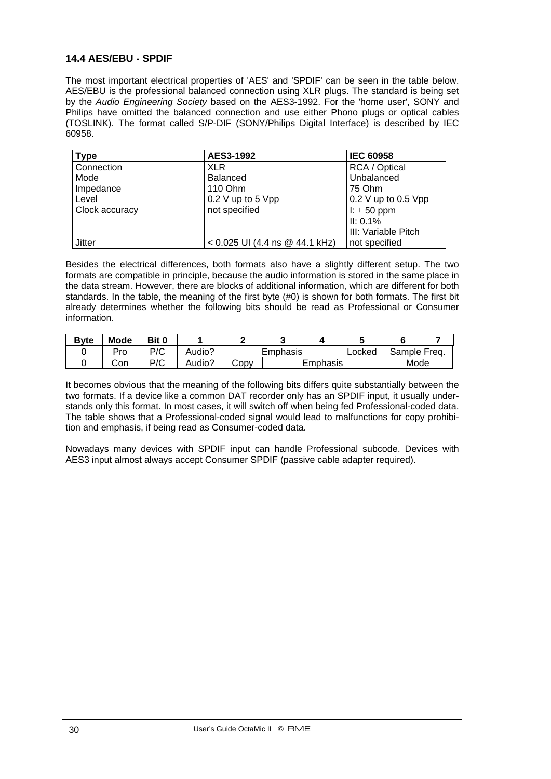#### **14.4 AES/EBU - SPDIF**

The most important electrical properties of 'AES' and 'SPDIF' can be seen in the table below. AES/EBU is the professional balanced connection using XLR plugs. The standard is being set by the *Audio Engineering Society* based on the AES3-1992. For the 'home user', SONY and Philips have omitted the balanced connection and use either Phono plugs or optical cables (TOSLINK). The format called S/P-DIF (SONY/Philips Digital Interface) is described by IEC 60958.

| <b>Type</b>    | AES3-1992                      | <b>IEC 60958</b>      |
|----------------|--------------------------------|-----------------------|
| Connection     | <b>XLR</b>                     | RCA / Optical         |
| Mode           | <b>Balanced</b>                | Unbalanced            |
| Impedance      | 110 Ohm                        | 75 Ohm                |
| Level          | 0.2 V up to 5 Vpp              | $0.2$ V up to 0.5 Vpp |
| Clock accuracy | not specified                  | $l: \pm 50$ ppm       |
|                |                                | II: 0.1%              |
|                |                                | III: Variable Pitch   |
| Jitter         | < 0.025 UI (4.4 ns @ 44.1 kHz) | not specified         |

Besides the electrical differences, both formats also have a slightly different setup. The two formats are compatible in principle, because the audio information is stored in the same place in the data stream. However, there are blocks of additional information, which are different for both standards. In the table, the meaning of the first byte (#0) is shown for both formats. The first bit already determines whether the following bits should be read as Professional or Consumer information.

| <b>Byte</b> | Mode | Bit 0 |        |          |          |  |        |              |  |
|-------------|------|-------|--------|----------|----------|--|--------|--------------|--|
|             | Pro  | P/C   | Audio? | Emphasis |          |  | Locked | Sample Freq. |  |
|             | Con  | P/C   | Audio? | JODV     | Emphasis |  |        | Mode         |  |

It becomes obvious that the meaning of the following bits differs quite substantially between the two formats. If a device like a common DAT recorder only has an SPDIF input, it usually understands only this format. In most cases, it will switch off when being fed Professional-coded data. The table shows that a Professional-coded signal would lead to malfunctions for copy prohibition and emphasis, if being read as Consumer-coded data.

Nowadays many devices with SPDIF input can handle Professional subcode. Devices with AES3 input almost always accept Consumer SPDIF (passive cable adapter required).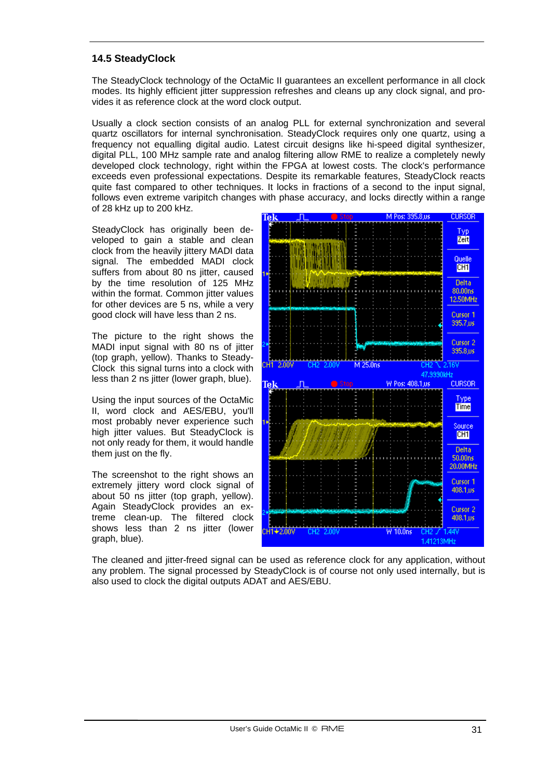### **14.5 SteadyClock**

The SteadyClock technology of the OctaMic II guarantees an excellent performance in all clock modes. Its highly efficient jitter suppression refreshes and cleans up any clock signal, and provides it as reference clock at the word clock output.

Usually a clock section consists of an analog PLL for external synchronization and several quartz oscillators for internal synchronisation. SteadyClock requires only one quartz, using a frequency not equalling digital audio. Latest circuit designs like hi-speed digital synthesizer, digital PLL, 100 MHz sample rate and analog filtering allow RME to realize a completely newly developed clock technology, right within the FPGA at lowest costs. The clock's performance exceeds even professional expectations. Despite its remarkable features, SteadyClock reacts quite fast compared to other techniques. It locks in fractions of a second to the input signal, follows even extreme varipitch changes with phase accuracy, and locks directly within a range of 28 kHz up to 200 kHz.

SteadyClock has originally been developed to gain a stable and clean clock from the heavily jittery MADI data signal. The embedded MADI clock suffers from about 80 ns jitter, caused by the time resolution of 125 MHz within the format. Common jitter values for other devices are 5 ns, while a very good clock will have less than 2 ns.

The picture to the right shows the MADI input signal with 80 ns of jitter (top graph, yellow). Thanks to Steady-Clock this signal turns into a clock with less than 2 ns jitter (lower graph, blue).

Using the input sources of the OctaMic II, word clock and AES/EBU, you'll most probably never experience such high jitter values. But SteadyClock is not only ready for them, it would handle them just on the fly.

The screenshot to the right shows an extremely jittery word clock signal of about 50 ns jitter (top graph, yellow). Again SteadyClock provides an extreme clean-up. The filtered clock shows less than 2 ns jitter (lower graph, blue).



The cleaned and jitter-freed signal can be used as reference clock for any application, without any problem. The signal processed by SteadyClock is of course not only used internally, but is also used to clock the digital outputs ADAT and AES/EBU.